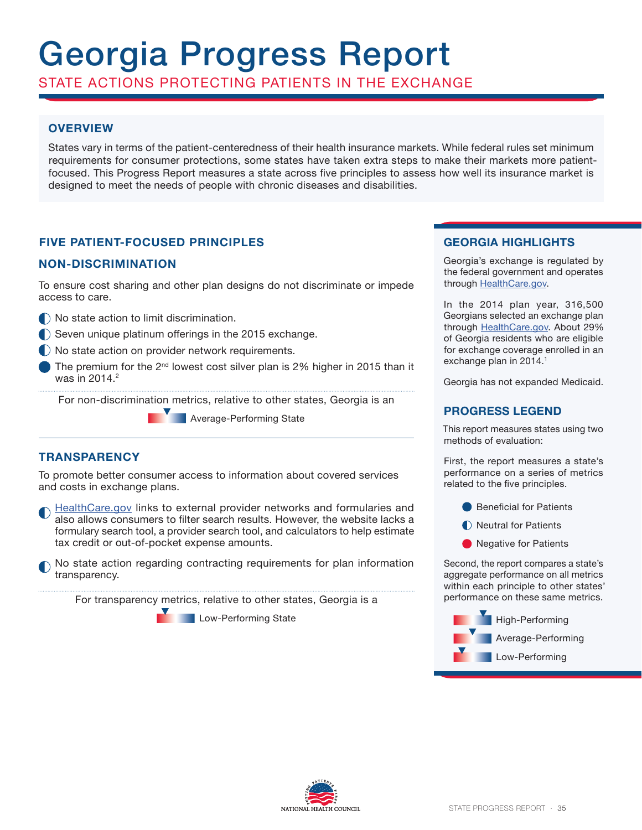# Georgia Progress Report

STATE ACTIONS PROTECTING PATIENTS IN THE EXCHANGE

# **OVERVIEW**

States vary in terms of the patient-centeredness of their health insurance markets. While federal rules set minimum requirements for consumer protections, some states have taken extra steps to make their markets more patientfocused. This Progress Report measures a state across five principles to assess how well its insurance market is designed to meet the needs of people with chronic diseases and disabilities.

# **FIVE PATIENT-FOCUSED PRINCIPLES**

## **NON-DISCRIMINATION**

To ensure cost sharing and other plan designs do not discriminate or impede access to care.

- $\bigcap$  No state action to limit discrimination.
- Seven unique platinum offerings in the 2015 exchange.
- No state action on provider network requirements.
- The premium for the  $2^{nd}$  lowest cost silver plan is 2% higher in 2015 than it was in  $2014.<sup>2</sup>$

For non-discrimination metrics, relative to other states, Georgia is an

**Average-Performing State** 

## **TRANSPARENCY**

To promote better consumer access to information about covered services and costs in exchange plans.

- HealthCare.gov links to external provider networks and formularies and also allows consumers to filter search results. However, the website lacks a formulary search tool, a provider search tool, and calculators to help estimate tax credit or out-of-pocket expense amounts.
- No state action regarding contracting requirements for plan information transparency.

For transparency metrics, relative to other states, Georgia is a

Low-Performing State

# **GEORGIA HIGHLIGHTS**

Georgia's exchange is regulated by the federal government and operates through HealthCare.gov.

In the 2014 plan year, 316,500 Georgians selected an exchange plan through HealthCare.gov. About 29% of Georgia residents who are eligible for exchange coverage enrolled in an exchange plan in 2014.<sup>1</sup>

Georgia has not expanded Medicaid.

### **PROGRESS LEGEND**

This report measures states using two methods of evaluation:

First, the report measures a state's performance on a series of metrics related to the five principles.

- **Beneficial for Patients**
- **Neutral for Patients**
- Regative for Patients

Second, the report compares a state's aggregate performance on all metrics within each principle to other states' performance on these same metrics.